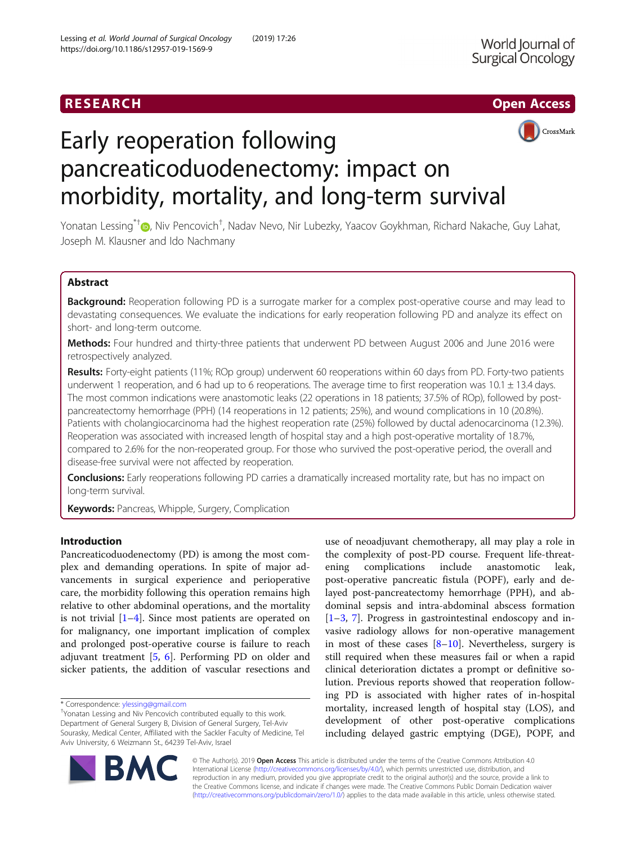# **RESEARCH CHINESE ARCH CHINESE ARCHITECT ACCESS**



# Early reoperation following pancreaticoduodenectomy: impact on morbidity, mortality, and long-term survival

Yonatan Lessing<sup>\*†</sup>�[,](http://orcid.org/0000-0002-7530-3001) Niv Pencovich<sup>†</sup>, Nadav Nevo, Nir Lubezky, Yaacov Goykhman, Richard Nakache, Guy Lahat, Joseph M. Klausner and Ido Nachmany

# Abstract

**Background:** Reoperation following PD is a surrogate marker for a complex post-operative course and may lead to devastating consequences. We evaluate the indications for early reoperation following PD and analyze its effect on short- and long-term outcome.

Methods: Four hundred and thirty-three patients that underwent PD between August 2006 and June 2016 were retrospectively analyzed.

Results: Forty-eight patients (11%; ROp group) underwent 60 reoperations within 60 days from PD. Forty-two patients underwent 1 reoperation, and 6 had up to 6 reoperations. The average time to first reoperation was  $10.1 \pm 13.4$  days. The most common indications were anastomotic leaks (22 operations in 18 patients; 37.5% of ROp), followed by postpancreatectomy hemorrhage (PPH) (14 reoperations in 12 patients; 25%), and wound complications in 10 (20.8%). Patients with cholangiocarcinoma had the highest reoperation rate (25%) followed by ductal adenocarcinoma (12.3%). Reoperation was associated with increased length of hospital stay and a high post-operative mortality of 18.7%, compared to 2.6% for the non-reoperated group. For those who survived the post-operative period, the overall and disease-free survival were not affected by reoperation.

**Conclusions:** Early reoperations following PD carries a dramatically increased mortality rate, but has no impact on long-term survival.

**Keywords:** Pancreas, Whipple, Surgery, Complication

# Introduction

Pancreaticoduodenectomy (PD) is among the most complex and demanding operations. In spite of major advancements in surgical experience and perioperative care, the morbidity following this operation remains high relative to other abdominal operations, and the mortality is not trivial  $[1-4]$  $[1-4]$  $[1-4]$  $[1-4]$ . Since most patients are operated on for malignancy, one important implication of complex and prolonged post-operative course is failure to reach adjuvant treatment [\[5,](#page-6-0) [6](#page-6-0)]. Performing PD on older and sicker patients, the addition of vascular resections and

use of neoadjuvant chemotherapy, all may play a role in the complexity of post-PD course. Frequent life-threatening complications include anastomotic leak, post-operative pancreatic fistula (POPF), early and delayed post-pancreatectomy hemorrhage (PPH), and abdominal sepsis and intra-abdominal abscess formation [[1](#page-5-0)–[3,](#page-5-0) [7\]](#page-6-0). Progress in gastrointestinal endoscopy and invasive radiology allows for non-operative management in most of these cases  $[8-10]$  $[8-10]$  $[8-10]$  $[8-10]$  $[8-10]$ . Nevertheless, surgery is still required when these measures fail or when a rapid clinical deterioration dictates a prompt or definitive solution. Previous reports showed that reoperation following PD is associated with higher rates of in-hospital mortality, increased length of hospital stay (LOS), and development of other post-operative complications including delayed gastric emptying (DGE), POPF, and



© The Author(s). 2019 Open Access This article is distributed under the terms of the Creative Commons Attribution 4.0 International License [\(http://creativecommons.org/licenses/by/4.0/](http://creativecommons.org/licenses/by/4.0/)), which permits unrestricted use, distribution, and reproduction in any medium, provided you give appropriate credit to the original author(s) and the source, provide a link to the Creative Commons license, and indicate if changes were made. The Creative Commons Public Domain Dedication waiver [\(http://creativecommons.org/publicdomain/zero/1.0/](http://creativecommons.org/publicdomain/zero/1.0/)) applies to the data made available in this article, unless otherwise stated.

<sup>\*</sup> Correspondence: [ylessing@gmail.com](mailto:ylessing@gmail.com) †

Yonatan Lessing and Niv Pencovich contributed equally to this work. Department of General Surgery B, Division of General Surgery, Tel-Aviv Sourasky, Medical Center, Affiliated with the Sackler Faculty of Medicine, Tel Aviv University, 6 Weizmann St., 64239 Tel-Aviv, Israel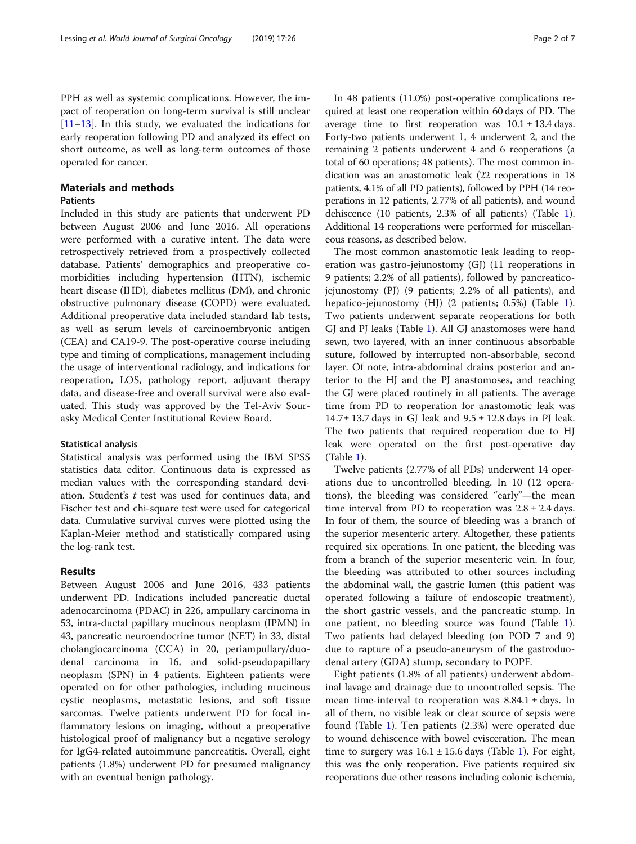PPH as well as systemic complications. However, the impact of reoperation on long-term survival is still unclear [[11](#page-6-0)–[13](#page-6-0)]. In this study, we evaluated the indications for early reoperation following PD and analyzed its effect on short outcome, as well as long-term outcomes of those operated for cancer.

# Materials and methods

# **Patients**

Included in this study are patients that underwent PD between August 2006 and June 2016. All operations were performed with a curative intent. The data were retrospectively retrieved from a prospectively collected database. Patients' demographics and preoperative comorbidities including hypertension (HTN), ischemic heart disease (IHD), diabetes mellitus (DM), and chronic obstructive pulmonary disease (COPD) were evaluated. Additional preoperative data included standard lab tests, as well as serum levels of carcinoembryonic antigen (CEA) and CA19-9. The post-operative course including type and timing of complications, management including the usage of interventional radiology, and indications for reoperation, LOS, pathology report, adjuvant therapy data, and disease-free and overall survival were also evaluated. This study was approved by the Tel-Aviv Sourasky Medical Center Institutional Review Board.

#### Statistical analysis

Statistical analysis was performed using the IBM SPSS statistics data editor. Continuous data is expressed as median values with the corresponding standard deviation. Student's  $t$  test was used for continues data, and Fischer test and chi-square test were used for categorical data. Cumulative survival curves were plotted using the Kaplan-Meier method and statistically compared using the log-rank test.

# Results

Between August 2006 and June 2016, 433 patients underwent PD. Indications included pancreatic ductal adenocarcinoma (PDAC) in 226, ampullary carcinoma in 53, intra-ductal papillary mucinous neoplasm (IPMN) in 43, pancreatic neuroendocrine tumor (NET) in 33, distal cholangiocarcinoma (CCA) in 20, periampullary/duodenal carcinoma in 16, and solid-pseudopapillary neoplasm (SPN) in 4 patients. Eighteen patients were operated on for other pathologies, including mucinous cystic neoplasms, metastatic lesions, and soft tissue sarcomas. Twelve patients underwent PD for focal inflammatory lesions on imaging, without a preoperative histological proof of malignancy but a negative serology for IgG4-related autoimmune pancreatitis. Overall, eight patients (1.8%) underwent PD for presumed malignancy with an eventual benign pathology.

In 48 patients (11.0%) post-operative complications required at least one reoperation within 60 days of PD. The average time to first reoperation was  $10.1 \pm 13.4$  days. Forty-two patients underwent 1, 4 underwent 2, and the remaining 2 patients underwent 4 and 6 reoperations (a total of 60 operations; 48 patients). The most common indication was an anastomotic leak (22 reoperations in 18 patients, 4.1% of all PD patients), followed by PPH (14 reoperations in 12 patients, 2.77% of all patients), and wound dehiscence (10 patients, 2.3% of all patients) (Table [1](#page-2-0)). Additional 14 reoperations were performed for miscellaneous reasons, as described below.

The most common anastomotic leak leading to reoperation was gastro-jejunostomy (GJ) (11 reoperations in 9 patients; 2.2% of all patients), followed by pancreaticojejunostomy (PJ) (9 patients; 2.2% of all patients), and hepatico-jejunostomy (HJ) (2 patients; 0.5%) (Table [1](#page-2-0)). Two patients underwent separate reoperations for both GJ and PJ leaks (Table [1](#page-2-0)). All GJ anastomoses were hand sewn, two layered, with an inner continuous absorbable suture, followed by interrupted non-absorbable, second layer. Of note, intra-abdominal drains posterior and anterior to the HJ and the PJ anastomoses, and reaching the GJ were placed routinely in all patients. The average time from PD to reoperation for anastomotic leak was  $14.7\pm13.7$  days in GJ leak and  $9.5\pm12.8$  days in PJ leak. The two patients that required reoperation due to HJ leak were operated on the first post-operative day (Table [1\)](#page-2-0).

Twelve patients (2.77% of all PDs) underwent 14 operations due to uncontrolled bleeding. In 10 (12 operations), the bleeding was considered "early"—the mean time interval from PD to reoperation was  $2.8 \pm 2.4$  days. In four of them, the source of bleeding was a branch of the superior mesenteric artery. Altogether, these patients required six operations. In one patient, the bleeding was from a branch of the superior mesenteric vein. In four, the bleeding was attributed to other sources including the abdominal wall, the gastric lumen (this patient was operated following a failure of endoscopic treatment), the short gastric vessels, and the pancreatic stump. In one patient, no bleeding source was found (Table [1](#page-2-0)). Two patients had delayed bleeding (on POD 7 and 9) due to rapture of a pseudo-aneurysm of the gastroduodenal artery (GDA) stump, secondary to POPF.

Eight patients (1.8% of all patients) underwent abdominal lavage and drainage due to uncontrolled sepsis. The mean time-interval to reoperation was  $8.84.1 \pm \text{days}$ . In all of them, no visible leak or clear source of sepsis were found (Table [1\)](#page-2-0). Ten patients (2.3%) were operated due to wound dehiscence with bowel evisceration. The mean time to surgery was  $16.1 \pm 15.6$  $16.1 \pm 15.6$  days (Table 1). For eight, this was the only reoperation. Five patients required six reoperations due other reasons including colonic ischemia,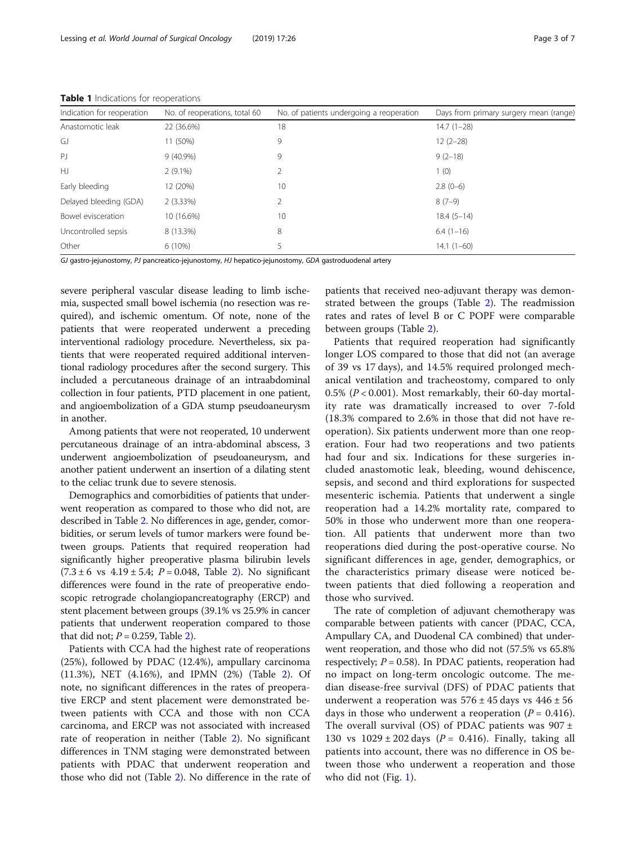| Indication for reoperation | No. of reoperations, total 60 | No. of patients undergoing a reoperation | Days from primary surgery mean (range) |
|----------------------------|-------------------------------|------------------------------------------|----------------------------------------|
| Anastomotic leak           | 22 (36.6%)                    | 18                                       | $14.7(1-28)$                           |
| GJ                         | 11 (50%)                      | 9                                        | $12(2-28)$                             |
| PJ                         | $9(40.9\%)$                   | 9                                        | $9(2-18)$                              |
| HJ                         | $2(9.1\%)$                    |                                          | 1(0)                                   |
| Early bleeding             | 12 (20%)                      | 10                                       | $2.8(0-6)$                             |
| Delayed bleeding (GDA)     | 2(3.33%)                      |                                          | $8(7-9)$                               |
| Bowel evisceration         | 10 (16.6%)                    | 10                                       | $18.4(5-14)$                           |
| Uncontrolled sepsis        | 8 (13.3%)                     | 8                                        | $6.4(1-16)$                            |
| Other                      | 6 (10%)                       | 5                                        | $14.1(1-60)$                           |

<span id="page-2-0"></span>Table 1 Indications for reoperations

GJ gastro-jejunostomy, PJ pancreatico-jejunostomy, HJ hepatico-jejunostomy, GDA gastroduodenal artery

severe peripheral vascular disease leading to limb ischemia, suspected small bowel ischemia (no resection was required), and ischemic omentum. Of note, none of the patients that were reoperated underwent a preceding interventional radiology procedure. Nevertheless, six patients that were reoperated required additional interventional radiology procedures after the second surgery. This included a percutaneous drainage of an intraabdominal collection in four patients, PTD placement in one patient, and angioembolization of a GDA stump pseudoaneurysm in another.

Among patients that were not reoperated, 10 underwent percutaneous drainage of an intra-abdominal abscess, 3 underwent angioembolization of pseudoaneurysm, and another patient underwent an insertion of a dilating stent to the celiac trunk due to severe stenosis.

Demographics and comorbidities of patients that underwent reoperation as compared to those who did not, are described in Table [2.](#page-3-0) No differences in age, gender, comorbidities, or serum levels of tumor markers were found between groups. Patients that required reoperation had significantly higher preoperative plasma bilirubin levels  $(7.3 \pm 6 \text{ vs } 4.19 \pm 5.4; P = 0.048, \text{ Table } 2)$  $(7.3 \pm 6 \text{ vs } 4.19 \pm 5.4; P = 0.048, \text{ Table } 2)$  $(7.3 \pm 6 \text{ vs } 4.19 \pm 5.4; P = 0.048, \text{ Table } 2)$ . No significant differences were found in the rate of preoperative endoscopic retrograde cholangiopancreatography (ERCP) and stent placement between groups (39.1% vs 25.9% in cancer patients that underwent reoperation compared to those that did not;  $P = 0.259$  $P = 0.259$  $P = 0.259$ , Table 2).

Patients with CCA had the highest rate of reoperations (25%), followed by PDAC (12.4%), ampullary carcinoma (11.3%), NET (4.16%), and IPMN (2%) (Table [2](#page-3-0)). Of note, no significant differences in the rates of preoperative ERCP and stent placement were demonstrated between patients with CCA and those with non CCA carcinoma, and ERCP was not associated with increased rate of reoperation in neither (Table [2\)](#page-3-0). No significant differences in TNM staging were demonstrated between patients with PDAC that underwent reoperation and those who did not (Table [2\)](#page-3-0). No difference in the rate of

patients that received neo-adjuvant therapy was demonstrated between the groups (Table [2](#page-3-0)). The readmission rates and rates of level B or C POPF were comparable between groups (Table [2](#page-3-0)).

Patients that required reoperation had significantly longer LOS compared to those that did not (an average of 39 vs 17 days), and 14.5% required prolonged mechanical ventilation and tracheostomy, compared to only 0.5% ( $P < 0.001$ ). Most remarkably, their 60-day mortality rate was dramatically increased to over 7-fold (18.3% compared to 2.6% in those that did not have reoperation). Six patients underwent more than one reoperation. Four had two reoperations and two patients had four and six. Indications for these surgeries included anastomotic leak, bleeding, wound dehiscence, sepsis, and second and third explorations for suspected mesenteric ischemia. Patients that underwent a single reoperation had a 14.2% mortality rate, compared to 50% in those who underwent more than one reoperation. All patients that underwent more than two reoperations died during the post-operative course. No significant differences in age, gender, demographics, or the characteristics primary disease were noticed between patients that died following a reoperation and those who survived.

The rate of completion of adjuvant chemotherapy was comparable between patients with cancer (PDAC, CCA, Ampullary CA, and Duodenal CA combined) that underwent reoperation, and those who did not (57.5% vs 65.8% respectively;  $P = 0.58$ ). In PDAC patients, reoperation had no impact on long-term oncologic outcome. The median disease-free survival (DFS) of PDAC patients that underwent a reoperation was  $576 \pm 45$  days vs  $446 \pm 56$ days in those who underwent a reoperation ( $P = 0.416$ ). The overall survival (OS) of PDAC patients was 907  $\pm$ 130 vs  $1029 \pm 202$  days ( $P = 0.416$ ). Finally, taking all patients into account, there was no difference in OS between those who underwent a reoperation and those who did not (Fig. [1](#page-4-0)).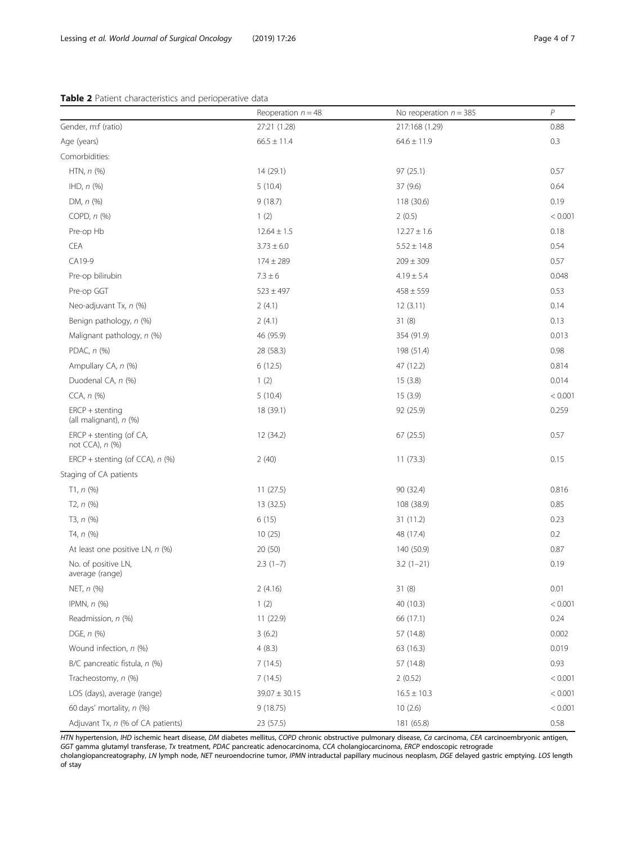# <span id="page-3-0"></span>Table 2 Patient characteristics and perioperative data

|                                               | Reoperation $n = 48$ | No reoperation $n = 385$ | P       |
|-----------------------------------------------|----------------------|--------------------------|---------|
| Gender, m.f (ratio)                           | 27:21 (1.28)         | 217:168 (1.29)           | 0.88    |
| Age (years)                                   | $66.5 \pm 11.4$      | $64.6 \pm 11.9$          | 0.3     |
| Comorbidities:                                |                      |                          |         |
| HTN, $n$ $(\%)$                               | 14(29.1)             | 97 (25.1)                | 0.57    |
| $IHD, n$ (%)                                  | 5(10.4)              | 37 (9.6)                 | 0.64    |
| DM, $n$ $(\%)$                                | 9(18.7)              | 118 (30.6)               | 0.19    |
| COPD, $n$ $%$                                 | 1(2)                 | 2(0.5)                   | < 0.001 |
| Pre-op Hb                                     | $12.64 \pm 1.5$      | $12.27 \pm 1.6$          | 0.18    |
| CEA                                           | $3.73 \pm 6.0$       | $5.52 \pm 14.8$          | 0.54    |
| CA19-9                                        | $174 \pm 289$        | $209 \pm 309$            | 0.57    |
| Pre-op bilirubin                              | $7.3 \pm 6$          | $4.19 \pm 5.4$           | 0.048   |
| Pre-op GGT                                    | $523 \pm 497$        | $458 \pm 559$            | 0.53    |
| Neo-adjuvant Tx, n (%)                        | 2(4.1)               | 12(3.11)                 | 0.14    |
| Benign pathology, n (%)                       | 2(4.1)               | 31(8)                    | 0.13    |
| Malignant pathology, n (%)                    | 46 (95.9)            | 354 (91.9)               | 0.013   |
| PDAC, $n$ (%)                                 | 28 (58.3)            | 198 (51.4)               | 0.98    |
| Ampullary CA, n (%)                           | 6(12.5)              | 47 (12.2)                | 0.814   |
| Duodenal CA, n (%)                            | 1(2)                 | 15(3.8)                  | 0.014   |
| CCA, n (%)                                    | 5(10.4)              | 15(3.9)                  | < 0.001 |
| $ERCP +$ stenting<br>(all malignant), $n$ (%) | 18 (39.1)            | 92 (25.9)                | 0.259   |
| $ERCP +$ stenting (of CA,<br>not CCA), n (%)  | 12 (34.2)            | 67(25.5)                 | 0.57    |
| $ERCP +$ stenting (of CCA), $n$ (%)           | 2(40)                | 11(73.3)                 | 0.15    |
| Staging of CA patients                        |                      |                          |         |
| T <sub>1</sub> , $n$ (%)                      | 11(27.5)             | 90 (32.4)                | 0.816   |
| T2, $n$ (%)                                   | 13 (32.5)            | 108 (38.9)               | 0.85    |
| T3, n (%)                                     | 6(15)                | 31 (11.2)                | 0.23    |
| T4, $n$ (%)                                   | 10(25)               | 48 (17.4)                | 0.2     |
| At least one positive LN, n (%)               | 20 (50)              | 140 (50.9)               | 0.87    |
| No. of positive LN,<br>average (range)        | $2.3(1-7)$           | $3.2(1-21)$              | 0.19    |
| NET, n (%)                                    | 2(4.16)              | 31(8)                    | 0.01    |
| IPMN, $n$ (%)                                 | 1(2)                 | 40 (10.3)                | < 0.001 |
| Readmission, n (%)                            | 11 (22.9)            | 66 (17.1)                | 0.24    |
| DGE, $n$ $(\%)$                               | 3(6.2)               | 57 (14.8)                | 0.002   |
| Wound infection, n (%)                        | 4(8.3)               | 63 (16.3)                | 0.019   |
| B/C pancreatic fistula, n (%)                 | 7(14.5)              | 57 (14.8)                | 0.93    |
| Tracheostomy, n (%)                           | 7(14.5)              | 2(0.52)                  | < 0.001 |
| LOS (days), average (range)                   | $39.07 \pm 30.15$    | $16.5 \pm 10.3$          | < 0.001 |
| 60 days' mortality, n (%)                     | 9(18.75)             | 10(2.6)                  | < 0.001 |
| Adjuvant Tx, n (% of CA patients)             | 23 (57.5)            | 181 (65.8)               | 0.58    |

HTN hypertension, IHD ischemic heart disease, DM diabetes mellitus, COPD chronic obstructive pulmonary disease, Ca carcinoma, CEA carcinoembryonic antigen, GGT gamma glutamyl transferase, Tx treatment, PDAC pancreatic adenocarcinoma, CCA cholangiocarcinoma, ERCP endoscopic retrograde

cholangiopancreatography, LN lymph node, NET neuroendocrine tumor, IPMN intraductal papillary mucinous neoplasm, DGE delayed gastric emptying. LOS length of stay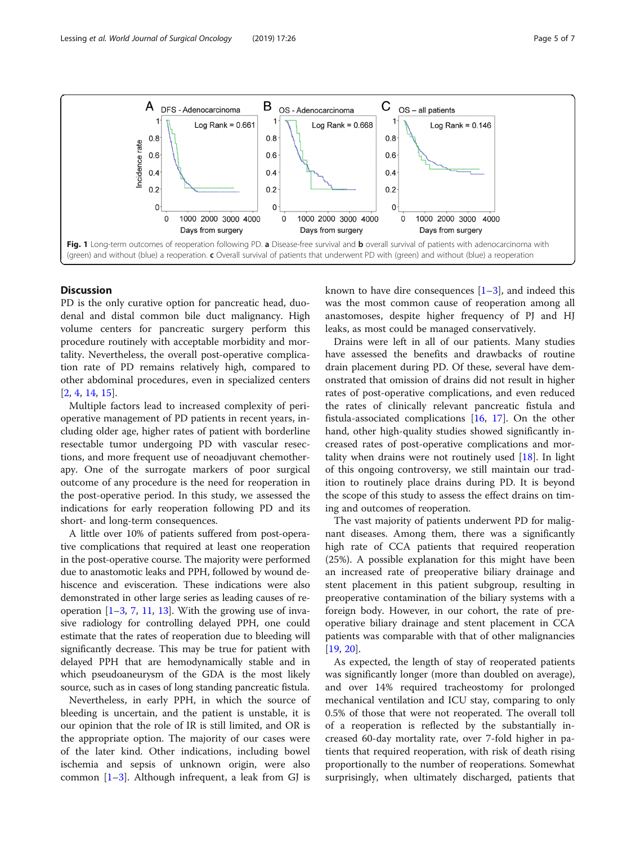<span id="page-4-0"></span>

### **Discussion**

PD is the only curative option for pancreatic head, duodenal and distal common bile duct malignancy. High volume centers for pancreatic surgery perform this procedure routinely with acceptable morbidity and mortality. Nevertheless, the overall post-operative complication rate of PD remains relatively high, compared to other abdominal procedures, even in specialized centers [[2,](#page-5-0) [4,](#page-6-0) [14,](#page-6-0) [15\]](#page-6-0).

Multiple factors lead to increased complexity of perioperative management of PD patients in recent years, including older age, higher rates of patient with borderline resectable tumor undergoing PD with vascular resections, and more frequent use of neoadjuvant chemotherapy. One of the surrogate markers of poor surgical outcome of any procedure is the need for reoperation in the post-operative period. In this study, we assessed the indications for early reoperation following PD and its short- and long-term consequences.

A little over 10% of patients suffered from post-operative complications that required at least one reoperation in the post-operative course. The majority were performed due to anastomotic leaks and PPH, followed by wound dehiscence and evisceration. These indications were also demonstrated in other large series as leading causes of reoperation  $[1-3, 7, 11, 13]$  $[1-3, 7, 11, 13]$  $[1-3, 7, 11, 13]$  $[1-3, 7, 11, 13]$  $[1-3, 7, 11, 13]$  $[1-3, 7, 11, 13]$  $[1-3, 7, 11, 13]$  $[1-3, 7, 11, 13]$  $[1-3, 7, 11, 13]$  $[1-3, 7, 11, 13]$ . With the growing use of invasive radiology for controlling delayed PPH, one could estimate that the rates of reoperation due to bleeding will significantly decrease. This may be true for patient with delayed PPH that are hemodynamically stable and in which pseudoaneurysm of the GDA is the most likely source, such as in cases of long standing pancreatic fistula.

Nevertheless, in early PPH, in which the source of bleeding is uncertain, and the patient is unstable, it is our opinion that the role of IR is still limited, and OR is the appropriate option. The majority of our cases were of the later kind. Other indications, including bowel ischemia and sepsis of unknown origin, were also common  $[1-3]$  $[1-3]$  $[1-3]$  $[1-3]$ . Although infrequent, a leak from GJ is known to have dire consequences  $[1-3]$  $[1-3]$  $[1-3]$  $[1-3]$  $[1-3]$ , and indeed this was the most common cause of reoperation among all anastomoses, despite higher frequency of PJ and HJ leaks, as most could be managed conservatively.

Drains were left in all of our patients. Many studies have assessed the benefits and drawbacks of routine drain placement during PD. Of these, several have demonstrated that omission of drains did not result in higher rates of post-operative complications, and even reduced the rates of clinically relevant pancreatic fistula and fistula-associated complications [\[16,](#page-6-0) [17\]](#page-6-0). On the other hand, other high-quality studies showed significantly increased rates of post-operative complications and mortality when drains were not routinely used  $[18]$ . In light of this ongoing controversy, we still maintain our tradition to routinely place drains during PD. It is beyond the scope of this study to assess the effect drains on timing and outcomes of reoperation.

The vast majority of patients underwent PD for malignant diseases. Among them, there was a significantly high rate of CCA patients that required reoperation (25%). A possible explanation for this might have been an increased rate of preoperative biliary drainage and stent placement in this patient subgroup, resulting in preoperative contamination of the biliary systems with a foreign body. However, in our cohort, the rate of preoperative biliary drainage and stent placement in CCA patients was comparable with that of other malignancies [[19,](#page-6-0) [20\]](#page-6-0).

As expected, the length of stay of reoperated patients was significantly longer (more than doubled on average), and over 14% required tracheostomy for prolonged mechanical ventilation and ICU stay, comparing to only 0.5% of those that were not reoperated. The overall toll of a reoperation is reflected by the substantially increased 60-day mortality rate, over 7-fold higher in patients that required reoperation, with risk of death rising proportionally to the number of reoperations. Somewhat surprisingly, when ultimately discharged, patients that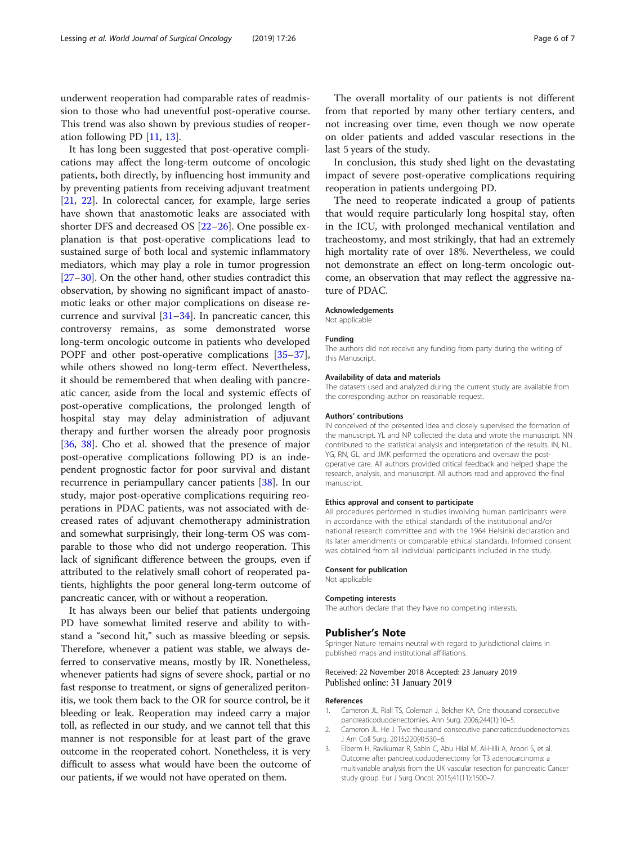<span id="page-5-0"></span>underwent reoperation had comparable rates of readmission to those who had uneventful post-operative course. This trend was also shown by previous studies of reoperation following PD [[11,](#page-6-0) [13](#page-6-0)].

It has long been suggested that post-operative complications may affect the long-term outcome of oncologic patients, both directly, by influencing host immunity and by preventing patients from receiving adjuvant treatment [[21,](#page-6-0) [22](#page-6-0)]. In colorectal cancer, for example, large series have shown that anastomotic leaks are associated with shorter DFS and decreased OS [\[22](#page-6-0)–[26\]](#page-6-0). One possible explanation is that post-operative complications lead to sustained surge of both local and systemic inflammatory mediators, which may play a role in tumor progression [[27](#page-6-0)–[30](#page-6-0)]. On the other hand, other studies contradict this observation, by showing no significant impact of anastomotic leaks or other major complications on disease recurrence and survival [\[31](#page-6-0)–[34\]](#page-6-0). In pancreatic cancer, this controversy remains, as some demonstrated worse long-term oncologic outcome in patients who developed POPF and other post-operative complications [[35](#page-6-0)–[37](#page-6-0)], while others showed no long-term effect. Nevertheless, it should be remembered that when dealing with pancreatic cancer, aside from the local and systemic effects of post-operative complications, the prolonged length of hospital stay may delay administration of adjuvant therapy and further worsen the already poor prognosis [[36,](#page-6-0) [38\]](#page-6-0). Cho et al. showed that the presence of major post-operative complications following PD is an independent prognostic factor for poor survival and distant recurrence in periampullary cancer patients [\[38](#page-6-0)]. In our study, major post-operative complications requiring reoperations in PDAC patients, was not associated with decreased rates of adjuvant chemotherapy administration and somewhat surprisingly, their long-term OS was comparable to those who did not undergo reoperation. This lack of significant difference between the groups, even if attributed to the relatively small cohort of reoperated patients, highlights the poor general long-term outcome of pancreatic cancer, with or without a reoperation.

It has always been our belief that patients undergoing PD have somewhat limited reserve and ability to withstand a "second hit," such as massive bleeding or sepsis. Therefore, whenever a patient was stable, we always deferred to conservative means, mostly by IR. Nonetheless, whenever patients had signs of severe shock, partial or no fast response to treatment, or signs of generalized peritonitis, we took them back to the OR for source control, be it bleeding or leak. Reoperation may indeed carry a major toll, as reflected in our study, and we cannot tell that this manner is not responsible for at least part of the grave outcome in the reoperated cohort. Nonetheless, it is very difficult to assess what would have been the outcome of our patients, if we would not have operated on them.

The overall mortality of our patients is not different from that reported by many other tertiary centers, and not increasing over time, even though we now operate on older patients and added vascular resections in the last 5 years of the study.

In conclusion, this study shed light on the devastating impact of severe post-operative complications requiring reoperation in patients undergoing PD.

The need to reoperate indicated a group of patients that would require particularly long hospital stay, often in the ICU, with prolonged mechanical ventilation and tracheostomy, and most strikingly, that had an extremely high mortality rate of over 18%. Nevertheless, we could not demonstrate an effect on long-term oncologic outcome, an observation that may reflect the aggressive nature of PDAC.

#### Acknowledgements

Not applicable

#### Funding

The authors did not receive any funding from party during the writing of this Manuscript.

#### Availability of data and materials

The datasets used and analyzed during the current study are available from the corresponding author on reasonable request.

#### Authors' contributions

IN conceived of the presented idea and closely supervised the formation of the manuscript. YL and NP collected the data and wrote the manuscript. NN contributed to the statistical analysis and interpretation of the results. IN, NL, YG, RN, GL, and JMK performed the operations and oversaw the postoperative care. All authors provided critical feedback and helped shape the research, analysis, and manuscript. All authors read and approved the final manuscript.

#### Ethics approval and consent to participate

All procedures performed in studies involving human participants were in accordance with the ethical standards of the institutional and/or national research committee and with the 1964 Helsinki declaration and its later amendments or comparable ethical standards. Informed consent was obtained from all individual participants included in the study.

#### Consent for publication

Not applicable

#### Competing interests

The authors declare that they have no competing interests.

#### Publisher's Note

Springer Nature remains neutral with regard to jurisdictional claims in published maps and institutional affiliations.

#### Received: 22 November 2018 Accepted: 23 January 2019 Published online: 31 January 2019

#### References

- 1. Cameron JL, Riall TS, Coleman J, Belcher KA. One thousand consecutive pancreaticoduodenectomies. Ann Surg. 2006;244(1):10–5.
- 2. Cameron JL, He J. Two thousand consecutive pancreaticoduodenectomies. J Am Coll Surg. 2015;220(4):530–6.
- 3. Elberm H, Ravikumar R, Sabin C, Abu Hilal M, Al-Hilli A, Aroori S, et al. Outcome after pancreaticoduodenectomy for T3 adenocarcinoma: a multivariable analysis from the UK vascular resection for pancreatic Cancer study group. Eur J Surg Oncol. 2015;41(11):1500–7.